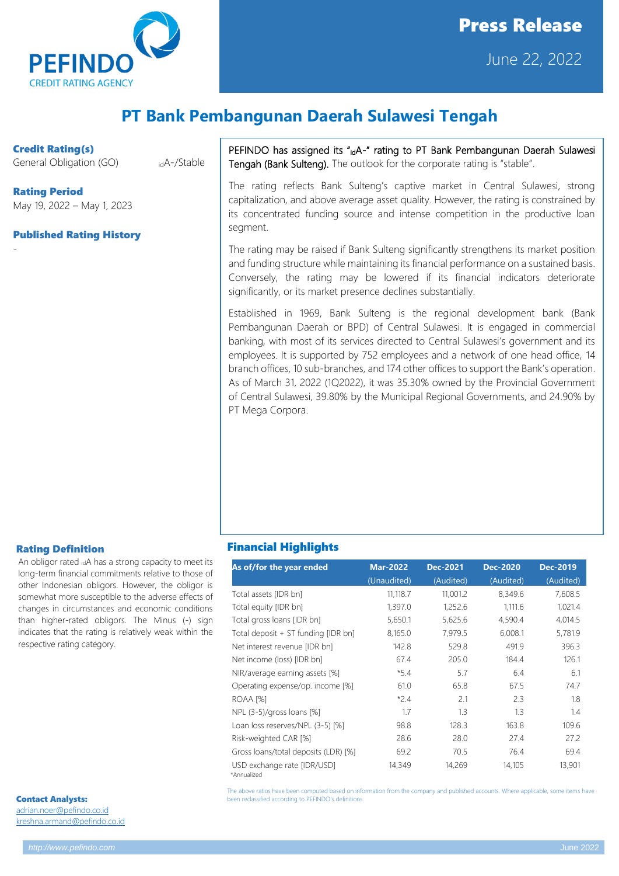

# Press Release June 22, 2022

## **PT Bank Pembangunan Daerah Sulawesi Tengah**

Credit Rating(s)

-

General Obligation (GO) idA-/Stable

Rating Period May 19, 2022 – May 1, 2023

#### Published Rating History

PEFINDO has assigned its "idA-" rating to PT Bank Pembangunan Daerah Sulawesi Tengah (Bank Sulteng). The outlook for the corporate rating is "stable".

The rating reflects Bank Sulteng's captive market in Central Sulawesi, strong capitalization, and above average asset quality. However, the rating is constrained by its concentrated funding source and intense competition in the productive loan segment.

The rating may be raised if Bank Sulteng significantly strengthens its market position and funding structure while maintaining its financial performance on a sustained basis. Conversely, the rating may be lowered if its financial indicators deteriorate significantly, or its market presence declines substantially.

Established in 1969, Bank Sulteng is the regional development bank (Bank Pembangunan Daerah or BPD) of Central Sulawesi. It is engaged in commercial banking, with most of its services directed to Central Sulawesi's government and its employees. It is supported by 752 employees and a network of one head office, 14 branch offices, 10 sub-branches, and 174 other offices to support the Bank's operation. As of March 31, 2022 (1Q2022), it was 35.30% owned by the Provincial Government of Central Sulawesi, 39.80% by the Municipal Regional Governments, and 24.90% by PT Mega Corpora.

#### Rating Definition

An obligor rated idA has a strong capacity to meet its long-term financial commitments relative to those of other Indonesian obligors. However, the obligor is somewhat more susceptible to the adverse effects of changes in circumstances and economic conditions than higher-rated obligors. The Minus (-) sign indicates that the rating is relatively weak within the respective rating category.

| <b>Contact Analysts:</b>  |  |
|---------------------------|--|
| adrian.noer@pefindo.co.id |  |

[kreshna.armand@pefindo.co.id](mailto:kreshna.armand@pefindo.co.id)

### Financial Highlights

| As of/for the year ended                   | <b>Mar-2022</b><br>(Unaudited) | <b>Dec-2021</b><br>(Audited) | <b>Dec-2020</b><br>(Audited) | Dec-2019<br>(Audited) |
|--------------------------------------------|--------------------------------|------------------------------|------------------------------|-----------------------|
| Total assets [IDR bn]                      | 11,118.7                       | 11,001.2                     | 8,349.6                      | 7,608.5               |
| Total equity [IDR bn]                      | 1,397.0                        | 1,252.6                      | 1,111.6                      | 1,021.4               |
| Total gross loans [IDR bn]                 | 5,650.1                        | 5,625.6                      | 4,590.4                      | 4,014.5               |
| Total deposit + ST funding [IDR bn]        | 8,165.0                        | 7,979.5                      | 6,008.1                      | 5,781.9               |
| Net interest revenue [IDR bn]              | 142.8                          | 529.8                        | 491.9                        | 396.3                 |
| Net income (loss) [IDR bn]                 | 67.4                           | 205.0                        | 184.4                        | 126.1                 |
| NIR/average earning assets [%]             | $*5.4$                         | 5.7                          | 6.4                          | 6.1                   |
| Operating expense/op. income [%]           | 61.0                           | 65.8                         | 67.5                         | 74.7                  |
| ROAA [%]                                   | $*2.4$                         | 2.1                          | 2.3                          | 1.8                   |
| NPL $(3-5)/$ gross loans [%]               | 1.7                            | 1.3                          | 1.3                          | 1.4                   |
| Loan loss reserves/NPL (3-5) [%]           | 98.8                           | 128.3                        | 163.8                        | 109.6                 |
| Risk-weighted CAR [%]                      | 28.6                           | 28.0                         | 27.4                         | 27.2                  |
| Gross loans/total deposits (LDR) [%]       | 69.2                           | 70.5                         | 76.4                         | 69.4                  |
| USD exchange rate [IDR/USD]<br>*Annualized | 14,349                         | 14,269                       | 14,105                       | 13,901                |

The above ratios have been computed based on information from the company and published accounts. Where applicable, some items have been reclassified according to PEFINDO's definitions.